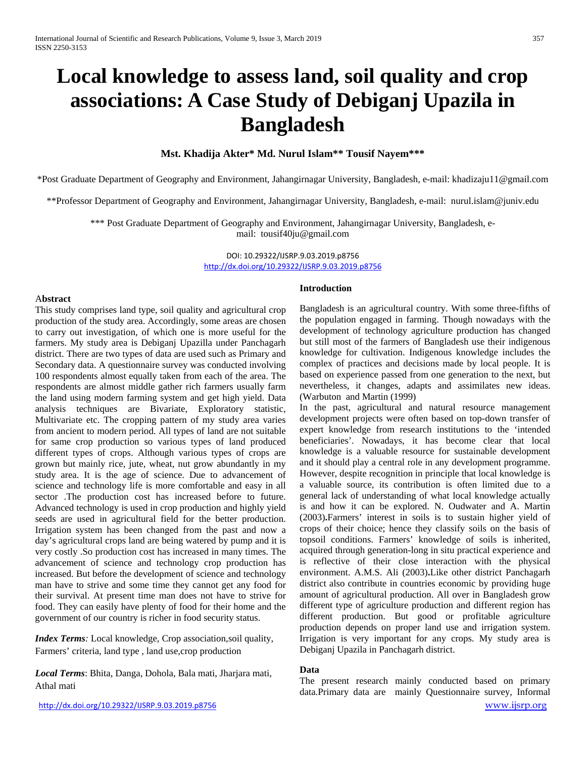# **Local knowledge to assess land, soil quality and crop associations: A Case Study of Debiganj Upazila in Bangladesh**

#### **Mst. Khadija Akter\* Md. Nurul Islam\*\* Tousif Nayem\*\*\***

\*Post Graduate Department of Geography and Environment, Jahangirnagar University, Bangladesh, e-mail[: khadizaju11@gmail.com](mailto:khadizaju11@gmail.com)

\*\*Professor Department of Geography and Environment, Jahangirnagar University, Bangladesh, e-mail: [nurul.islam@juniv.edu](mailto:nurul.islam@juniv.edu)

\*\*\* Post Graduate Department of Geography and Environment, Jahangirnagar University, Bangladesh, email: [tousif40ju@gmail.com](mailto:tousif40ju@gmail.com)

> DOI: 10.29322/IJSRP.9.03.2019.p8756 <http://dx.doi.org/10.29322/IJSRP.9.03.2019.p8756>

#### A**bstract**

This study comprises land type, soil quality and agricultural crop production of the study area. Accordingly, some areas are chosen to carry out investigation, of which one is more useful for the farmers. My study area is Debiganj Upazilla under Panchagarh district. There are two types of data are used such as Primary and Secondary data. A questionnaire survey was conducted involving 100 respondents almost equally taken from each of the area. The respondents are almost middle gather rich farmers usually farm the land using modern farming system and get high yield. Data analysis techniques are Bivariate, Exploratory statistic, Multivariate etc. The cropping pattern of my study area varies from ancient to modern period. All types of land are not suitable for same crop production so various types of land produced different types of crops. Although various types of crops are grown but mainly rice, jute, wheat, nut grow abundantly in my study area. It is the age of science. Due to advancement of science and technology life is more comfortable and easy in all sector .The production cost has increased before to future. Advanced technology is used in crop production and highly yield seeds are used in agricultural field for the better production. Irrigation system has been changed from the past and now a day's agricultural crops land are being watered by pump and it is very costly .So production cost has increased in many times. The advancement of science and technology crop production has increased. But before the development of science and technology man have to strive and some time they cannot get any food for their survival. At present time man does not have to strive for food. They can easily have plenty of food for their home and the government of our country is richer in food security status.

*Index Terms:* Local knowledge, Crop association,soil quality, Farmers' criteria, land type , land use,crop production

*Local Terms*: Bhita, Danga, Dohola, Bala mati, Jharjara mati, Athal mati

#### **Introduction**

Bangladesh is an agricultural country. With some three-fifths of the population engaged in farming. Though nowadays with the development of technology agriculture production has changed but still most of the farmers of Bangladesh use their indigenous knowledge for cultivation. Indigenous knowledge includes the complex of practices and decisions made by local people. It is based on experience passed from one generation to the next, but nevertheless, it changes, adapts and assimilates new ideas. (Warbuton and Martin (1999)

In the past, agricultural and natural resource management development projects were often based on top-down transfer of expert knowledge from research institutions to the 'intended beneficiaries'. Nowadays, it has become clear that local knowledge is a valuable resource for sustainable development and it should play a central role in any development programme. However, despite recognition in principle that local knowledge is a valuable source, its contribution is often limited due to a general lack of understanding of what local knowledge actually is and how it can be explored. N. Oudwater and A. Martin (2003)**.**Farmers' interest in soils is to sustain higher yield of crops of their choice; hence they classify soils on the basis of topsoil conditions. Farmers' knowledge of soils is inherited, acquired through generation-long in situ practical experience and is reflective of their close interaction with the physical environment. A.M.S. Ali (2003)**.**Like other district Panchagarh district also contribute in countries economic by providing huge amount of agricultural production. All over in Bangladesh grow different type of agriculture production and different region has different production. But good or profitable agriculture production depends on proper land use and irrigation system. Irrigation is very important for any crops. My study area is Debiganj Upazila in Panchagarh district.

#### **Data**

<http://dx.doi.org/10.29322/IJSRP.9.03.2019.p8756> [www.ijsrp.org](http://ijsrp.org/) The present research mainly conducted based on primary data.Primary data are mainly Questionnaire survey, Informal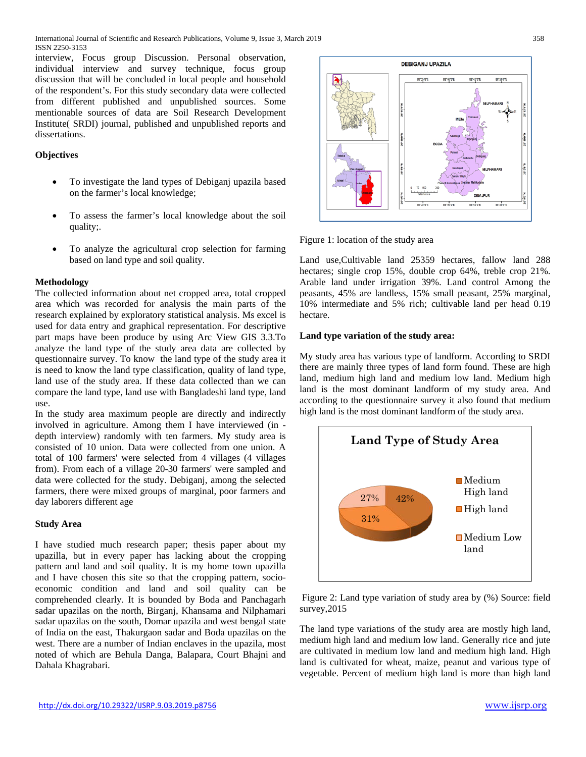interview, Focus group Discussion. Personal observation, individual interview and survey technique, focus group discussion that will be concluded in local people and household of the respondent's. For this study secondary data were collected from different published and unpublished sources. Some mentionable sources of data are Soil Research Development Institute( SRDI) journal, published and unpublished reports and dissertations.

### **Objectives**

- To investigate the land types of Debiganj upazila based on the farmer's local knowledge;
- To assess the farmer's local knowledge about the soil quality;.
- To analyze the agricultural crop selection for farming based on land type and soil quality.

# **Methodology**

The collected information about net cropped area, total cropped area which was recorded for analysis the main parts of the research explained by exploratory statistical analysis. Ms excel is used for data entry and graphical representation. For descriptive part maps have been produce by using Arc View GIS 3.3.To analyze the land type of the study area data are collected by questionnaire survey. To know the land type of the study area it is need to know the land type classification, quality of land type, land use of the study area. If these data collected than we can compare the land type, land use with Bangladeshi land type, land use.

In the study area maximum people are directly and indirectly involved in agriculture. Among them I have interviewed (in depth interview) randomly with ten farmers. My study area is consisted of 10 union. Data were collected from one union. A total of 100 farmers' were selected from 4 villages (4 villages from). From each of a village 20-30 farmers' were sampled and data were collected for the study. Debiganj, among the selected farmers, there were mixed groups of marginal, poor farmers and day laborers different age

#### **Study Area**

I have studied much research paper; thesis paper about my upazilla, but in every paper has lacking about the cropping pattern and land and soil quality. It is my home town upazilla and I have chosen this site so that the cropping pattern, socioeconomic condition and land and soil quality can be comprehended clearly. It is bounded by [Boda](http://en.banglapedia.org/index.php?title=Boda_Upazila) and [Panchagarh](http://en.banglapedia.org/index.php?title=Panchagarh_Sadar_Upazila) [sadar](http://en.banglapedia.org/index.php?title=Panchagarh_Sadar_Upazila) upazilas on the north, [Birganj,](http://en.banglapedia.org/index.php?title=Birganj_Upazila) [Khansama](http://en.banglapedia.org/index.php?title=Khansama_Upazila) and [Nilphamari](http://en.banglapedia.org/index.php?title=Nilphamari_Sadar_Upazila)  [sadar](http://en.banglapedia.org/index.php?title=Nilphamari_Sadar_Upazila) upazilas on the south, Domar upazila and [west bengal](http://en.banglapedia.org/index.php?title=West_Bengal) state of India on the east, [Thakurgaon sadar](http://en.banglapedia.org/index.php?title=Thakurgaon_Sadar_Upazila) and Boda upazilas on the west. There are a number of Indian enclaves in the upazila, most noted of which are Behula Danga, Balapara, Court Bhajni and Dahala Khagrabari.





Figure 1: location of the study area

Land use,Cultivable land 25359 hectares, fallow land 288 hectares; single crop 15%, double crop 64%, treble crop 21%. Arable land under irrigation 39%. Land control Among the peasants, 45% are landless, 15% small peasant, 25% marginal, 10% intermediate and 5% rich; cultivable land per head 0.19 hectare.

#### **Land type variation of the study area:**

My study area has various type of landform. According to SRDI there are mainly three types of land form found. These are high land, medium high land and medium low land. Medium high land is the most dominant landform of my study area. And according to the questionnaire survey it also found that medium high land is the most dominant landform of the study area.



Figure 2: Land type variation of study area by (%) Source: field survey,2015

The land type variations of the study area are mostly high land, medium high land and medium low land. Generally rice and jute are cultivated in medium low land and medium high land. High land is cultivated for wheat, maize, peanut and various type of vegetable. Percent of medium high land is more than high land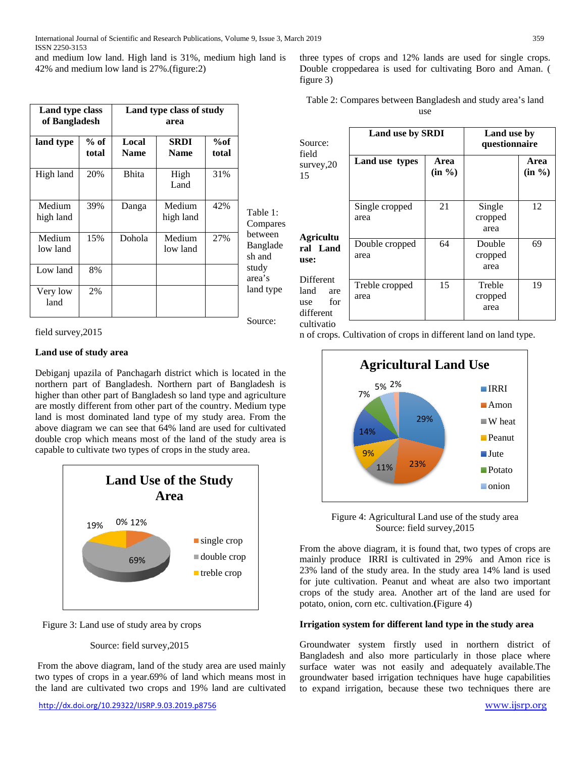and medium low land. High land is 31%, medium high land is 42% and medium low land is 27%.(figure:2)

|                     | Land type class<br>of Bangladesh |                      | Land type class of study<br>area |              |                               |
|---------------------|----------------------------------|----------------------|----------------------------------|--------------|-------------------------------|
| land type           | $%$ of<br>total                  | Local<br><b>Name</b> | <b>SRDI</b><br><b>Name</b>       | %of<br>total |                               |
| High land           | 20%                              | <b>Bhita</b>         | High<br>Land                     | 31%          |                               |
| Medium<br>high land | 39%                              | Danga                | Medium<br>high land              | 42%          | Table 1:<br>Compares          |
| Medium<br>low land  | 15%                              | Dohola               | Medium<br>low land               | 27%          | between<br>Banglade<br>sh and |
| Low land            | 8%                               |                      |                                  |              | study<br>area's               |
| Very low<br>land    | 2%                               |                      |                                  |              | land type                     |

Source:

# field survey,2015

#### **Land use of study area**

Debiganj upazila of Panchagarh district which is located in the northern part of Bangladesh. Northern part of Bangladesh is higher than other part of Bangladesh so land type and agriculture are mostly different from other part of the country. Medium type land is most dominated land type of my study area. From the above diagram we can see that 64% land are used for cultivated double crop which means most of the land of the study area is capable to cultivate two types of crops in the study area.





# Source: field survey,2015

From the above diagram, land of the study area are used mainly two types of crops in a year.69% of land which means most in the land are cultivated two crops and 19% land are cultivated three types of crops and 12% lands are used for single crops. Double croppedarea is used for cultivating Boro and Aman. ( figure 3)

| Table 2: Compares between Bangladesh and study area's land |     |  |
|------------------------------------------------------------|-----|--|
|                                                            | use |  |

| Source:                                                                  | Land use by SRDI       | Land use by<br>questionnaire |                           |                   |
|--------------------------------------------------------------------------|------------------------|------------------------------|---------------------------|-------------------|
| field<br>survey, $20$<br>15                                              | Land use types         | Area<br>$(in \%)$            |                           | Area<br>$(in \%)$ |
|                                                                          | Single cropped<br>area | 21                           | Single<br>cropped<br>area | 12                |
| Agricultu<br>ral Land<br>use:                                            | Double cropped<br>area | 64                           | Double<br>cropped<br>area | 69                |
| <b>Different</b><br>land<br>are<br>for<br>use<br>different<br>cultivatio | Treble cropped<br>area | 15                           | Treble<br>cropped<br>area | 19                |

n of crops. Cultivation of crops in different land on land type.



Figure 4: Agricultural Land use of the study area Source: field survey,2015

From the above diagram, it is found that, two types of crops are mainly produce IRRI is cultivated in 29% and Amon rice is 23% land of the study area. In the study area 14% land is used for jute cultivation. Peanut and wheat are also two important crops of the study area. Another art of the land are used for potato, onion, corn etc. cultivation.**(**Figure 4)

# **Irrigation system for different land type in the study area**

Groundwater system firstly used in northern district of Bangladesh and also more particularly in those place where surface water was not easily and adequately available.The groundwater based irrigation techniques have huge capabilities to expand irrigation, because these two techniques there are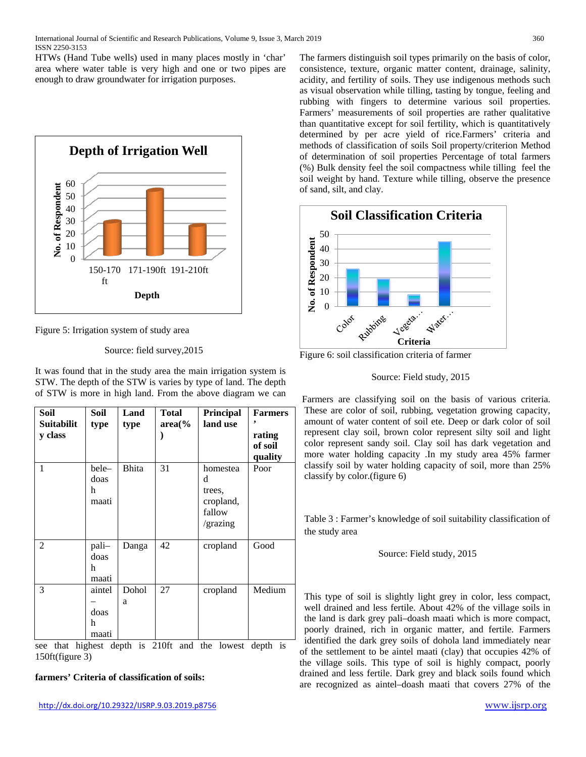HTWs (Hand Tube wells) used in many places mostly in 'char' area where water table is very high and one or two pipes are enough to draw groundwater for irrigation purposes.



Figure 5: Irrigation system of study area

Source: field survey,2015

It was found that in the study area the main irrigation system is STW. The depth of the STW is varies by type of land. The depth of STW is more in high land. From the above diagram we can

| Soil<br><b>Suitabilit</b><br>y class | Soil<br>type                 | Land<br>type | Total<br>$area\%$ | Principal<br>land use                                      | <b>Farmers</b><br>rating<br>of soil<br>quality |
|--------------------------------------|------------------------------|--------------|-------------------|------------------------------------------------------------|------------------------------------------------|
| $\mathbf{1}$                         | bele-<br>doas<br>h<br>maati  | <b>Bhita</b> | 31                | homestea<br>d<br>trees,<br>cropland,<br>fallow<br>/grazing | Poor                                           |
| $\mathfrak{D}$                       | pali-<br>doas<br>h<br>maati  | Danga        | 42                | cropland                                                   | Good                                           |
| 3                                    | aintel<br>doas<br>h<br>maati | Dohol<br>a   | 27                | cropland                                                   | Medium                                         |

see that highest depth is 210ft and the lowest depth is 150ft(figure 3)

#### **farmers' Criteria of classification of soils:**

The farmers distinguish soil types primarily on the basis of color, consistence, texture, organic matter content, drainage, salinity, acidity, and fertility of soils. They use indigenous methods such as visual observation while tilling, tasting by tongue, feeling and rubbing with fingers to determine various soil properties. Farmers' measurements of soil properties are rather qualitative than quantitative except for soil fertility, which is quantitatively determined by per acre yield of rice.Farmers' criteria and methods of classification of soils Soil property/criterion Method of determination of soil properties Percentage of total farmers (%) Bulk density feel the soil compactness while tilling feel the soil weight by hand. Texture while tilling, observe the presence of sand, silt, and clay.



Figure 6: soil classification criteria of farmer

#### Source: Field study, 2015

Farmers are classifying soil on the basis of various criteria. These are color of soil, rubbing, vegetation growing capacity, amount of water content of soil ete. Deep or dark color of soil represent clay soil, brown color represent silty soil and light color represent sandy soil. Clay soil has dark vegetation and more water holding capacity .In my study area 45% farmer classify soil by water holding capacity of soil, more than 25% classify by color.(figure 6)

Table 3 : Farmer's knowledge of soil suitability classification of the study area

Source: Field study, 2015

This type of soil is slightly light grey in color, less compact, well drained and less fertile. About 42% of the village soils in the land is dark grey pali–doash maati which is more compact, poorly drained, rich in organic matter, and fertile. Farmers identified the dark grey soils of dohola land immediately near of the settlement to be aintel maati (clay) that occupies 42% of the village soils. This type of soil is highly compact, poorly drained and less fertile. Dark grey and black soils found which are recognized as aintel–doash maati that covers 27% of the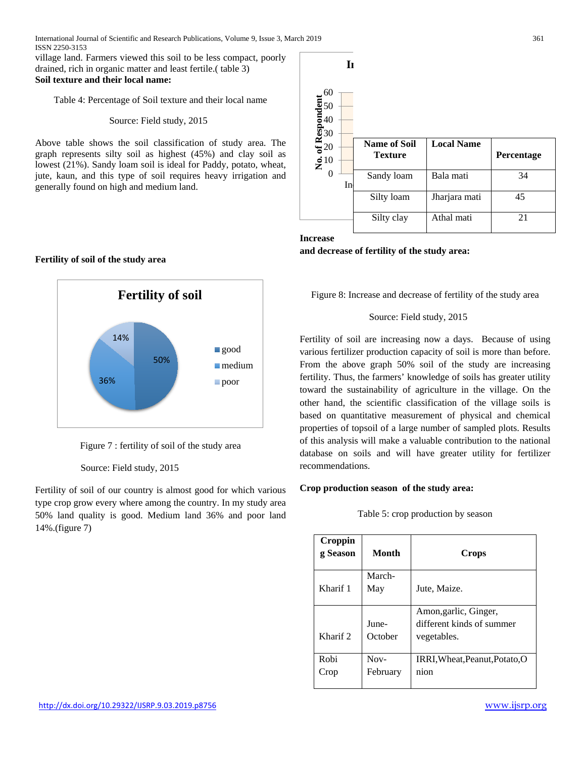village land. Farmers viewed this soil to be less compact, poorly drained, rich in organic matter and least fertile.( table 3) **Soil texture and their local name:**

Table 4: Percentage of Soil texture and their local name

#### Source: Field study, 2015

Above table shows the soil classification of study area. The graph represents silty soil as highest (45%) and clay soil as lowest (21%). Sandy loam soil is ideal for Paddy, potato, wheat, jute, kaun, and this type of soil requires heavy irrigation and generally found on high and medium land.

# **Fertility of soil of the study area**



Figure 7 : fertility of soil of the study area

#### Source: Field study, 2015

Fertility of soil of our country is almost good for which various type crop grow every where among the country. In my study area 50% land quality is good. Medium land 36% and poor land 14%.(figure 7)



#### **Increase and decrease of fertility of the study area:**

Figure 8: Increase and decrease of fertility of the study area

# Source: Field study, 2015

Fertility of soil are increasing now a days. Because of using various fertilizer production capacity of soil is more than before. From the above graph 50% soil of the study are increasing fertility. Thus, the farmers' knowledge of soils has greater utility toward the sustainability of agriculture in the village. On the other hand, the scientific classification of the village soils is based on quantitative measurement of physical and chemical properties of topsoil of a large number of sampled plots. Results of this analysis will make a valuable contribution to the national database on soils and will have greater utility for fertilizer recommendations.

#### **Crop production season of the study area:**

#### Table 5: crop production by season

| Croppin<br>g Season | Month              | <b>Crops</b>                                                      |
|---------------------|--------------------|-------------------------------------------------------------------|
| Kharif 1            | March-<br>May      | Jute, Maize.                                                      |
| Kharif 2            | June-<br>October   | Amon, garlic, Ginger,<br>different kinds of summer<br>vegetables. |
| Robi<br>Crop        | $Now-$<br>February | IRRI, Wheat, Peanut, Potato, O<br>nion                            |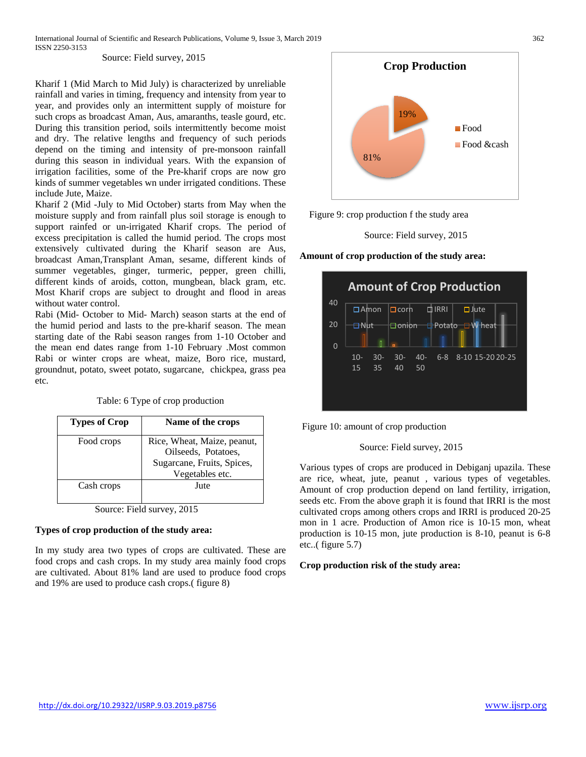Source: Field survey, 2015

Kharif 1 (Mid March to Mid July) is characterized by unreliable rainfall and varies in timing, frequency and intensity from year to year, and provides only an intermittent supply of moisture for such crops as broadcast Aman, Aus, amaranths, teasle gourd, etc. During this transition period, soils intermittently become moist and dry. The relative lengths and frequency of such periods depend on the timing and intensity of pre-monsoon rainfall during this season in individual years. With the expansion of irrigation facilities, some of the Pre-kharif crops are now gro kinds of summer vegetables wn under irrigated conditions. These include Jute, Maize.

Kharif 2 (Mid -July to Mid October) starts from May when the moisture supply and from rainfall plus soil storage is enough to support rainfed or un-irrigated Kharif crops. The period of excess precipitation is called the humid period. The crops most extensively cultivated during the Kharif season are Aus, broadcast Aman,Transplant Aman, sesame, different kinds of summer vegetables, ginger, turmeric, pepper, green chilli, different kinds of aroids, cotton, mungbean, black gram, etc. Most Kharif crops are subject to drought and flood in areas without water control.

Rabi (Mid- October to Mid- March) season starts at the end of the humid period and lasts to the pre-kharif season. The mean starting date of the Rabi season ranges from 1-10 October and the mean end dates range from 1-10 February .Most common Rabi or winter crops are wheat, maize, Boro rice, mustard, groundnut, potato, sweet potato, sugarcane, chickpea, grass pea etc.

Table: 6 Type of crop production

| <b>Types of Crop</b> | Name of the crops                                                                                   |
|----------------------|-----------------------------------------------------------------------------------------------------|
| Food crops           | Rice, Wheat, Maize, peanut,<br>Oilseeds, Potatoes,<br>Sugarcane, Fruits, Spices,<br>Vegetables etc. |
| Cash crops           | Jute                                                                                                |

Source: Field survey, 2015

#### **Types of crop production of the study area:**

In my study area two types of crops are cultivated. These are food crops and cash crops. In my study area mainly food crops are cultivated. About 81% land are used to produce food crops and 19% are used to produce cash crops.( figure 8)



Figure 9: crop production f the study area

Source: Field survey, 2015

**Amount of crop production of the study area:**



Figure 10: amount of crop production

#### Source: Field survey, 2015

Various types of crops are produced in Debiganj upazila. These are rice, wheat, jute, peanut , various types of vegetables. Amount of crop production depend on land fertility, irrigation, seeds etc. From the above graph it is found that IRRI is the most cultivated crops among others crops and IRRI is produced 20-25 mon in 1 acre. Production of Amon rice is 10-15 mon, wheat production is 10-15 mon, jute production is 8-10, peanut is 6-8 etc..( figure 5.7)

#### **Crop production risk of the study area:**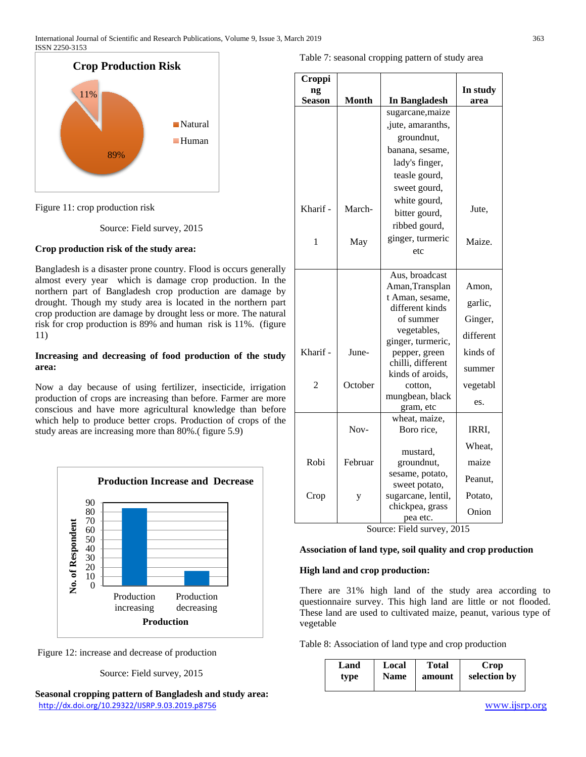International Journal of Scientific and Research Publications, Volume 9, Issue 3, March 2019 363 ISSN 2250-3153



Figure 11: crop production risk

Source: Field survey, 2015

#### **Crop production risk of the study area:**

Bangladesh is a disaster prone country. Flood is occurs generally almost every year which is damage crop production. In the northern part of Bangladesh crop production are damage by drought. Though my study area is located in the northern part crop production are damage by drought less or more. The natural risk for crop production is 89% and human risk is 11%. (figure 11)

#### **Increasing and decreasing of food production of the study area:**

Now a day because of using fertilizer, insecticide, irrigation production of crops are increasing than before. Farmer are more conscious and have more agricultural knowledge than before which help to produce better crops. Production of crops of the study areas are increasing more than 80%.( figure 5.9)





Source: Field survey, 2015

<http://dx.doi.org/10.29322/IJSRP.9.03.2019.p8756> [www.ijsrp.org](http://ijsrp.org/) **Seasonal cropping pattern of Bangladesh and study area:**

|  | Table 7: seasonal cropping pattern of study area |  |  |
|--|--------------------------------------------------|--|--|
|  |                                                  |  |  |

| Croppi         |              |                                    |           |
|----------------|--------------|------------------------------------|-----------|
| ng<br>Season   | <b>Month</b> | <b>In Bangladesh</b>               | In study  |
|                |              | sugarcane, maize                   | area      |
|                |              | , jute, amaranths,                 |           |
|                |              | groundnut,                         |           |
|                |              | banana, sesame,                    |           |
|                |              | lady's finger,                     |           |
|                |              | teasle gourd,                      |           |
|                |              |                                    |           |
|                |              | sweet gourd,                       |           |
| Kharif -       | March-       | white gourd,                       | Jute,     |
|                |              | bitter gourd,                      |           |
|                |              | ribbed gourd,                      |           |
| 1              | May          | ginger, turmeric                   | Maize.    |
|                |              | etc                                |           |
|                |              |                                    |           |
|                |              | Aus, broadcast                     |           |
|                |              | Aman, Transplan<br>t Aman, sesame, | Amon,     |
|                |              | different kinds                    | garlic,   |
|                |              | of summer                          | Ginger,   |
|                |              | vegetables,                        |           |
|                |              | ginger, turmeric,                  | different |
| Kharif -       | June-        | pepper, green                      | kinds of  |
|                |              | chilli, different                  | summer    |
|                |              | kinds of aroids,                   |           |
| $\overline{2}$ | October      | cotton.                            | vegetabl  |
|                |              | mungbean, black                    | es.       |
|                |              | gram, etc<br>wheat, maize,         |           |
|                | Nov-         | Boro rice,                         | IRRI,     |
|                |              |                                    |           |
|                |              | mustard,                           | Wheat,    |
| Robi           | Februar      | groundnut,                         | maize     |
|                |              | sesame, potato,                    | Peanut,   |
|                |              | sweet potato,                      |           |
| Crop           | у            | sugarcane, lentil,                 | Potato,   |
|                |              | chickpea, grass                    | Onion     |
|                |              | pea etc.                           |           |

Source: Field survey, 2015

#### **Association of land type, soil quality and crop production**

#### **High land and crop production:**

There are 31% high land of the study area according to questionnaire survey. This high land are little or not flooded. These land are used to cultivated maize, peanut, various type of vegetable

Table 8: Association of land type and crop production

| Local<br>Land<br><b>Name</b><br>type | <b>Total</b><br>amount | Crop<br>selection by |
|--------------------------------------|------------------------|----------------------|
|--------------------------------------|------------------------|----------------------|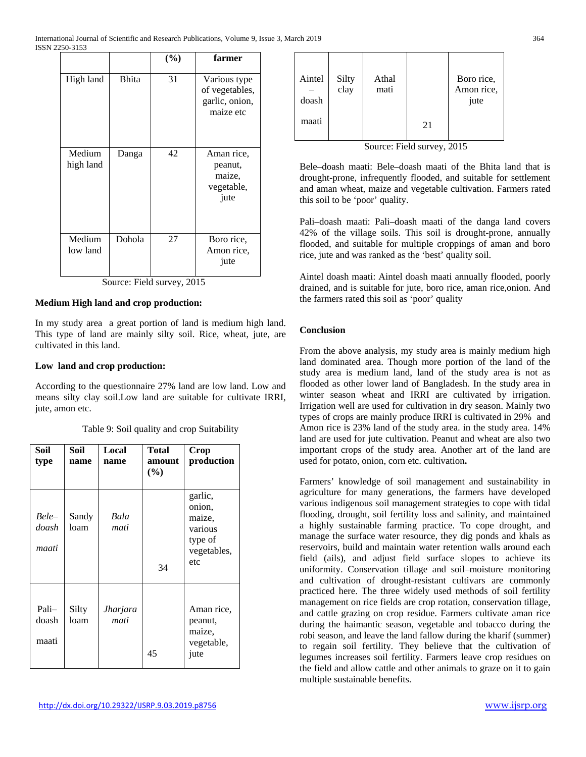| <b>Bhita</b> | 31 | Various type<br>of vegetables,<br>garlic, onion,<br>maize etc |
|--------------|----|---------------------------------------------------------------|
| Danga        | 42 | Aman rice,<br>peanut,<br>maize,<br>vegetable,<br>jute         |
| Dohola       | 27 | Boro rice,<br>Amon rice,<br>jute                              |
|              |    |                                                               |

# **Medium High land and crop production:**

In my study area a great portion of land is medium high land. This type of land are mainly silty soil. Rice, wheat, jute, are cultivated in this land.

# **Low land and crop production:**

According to the questionnaire 27% land are low land. Low and means silty clay soil.Low land are suitable for cultivate IRRI, jute, amon etc.

| Table 9: Soil quality and crop Suitability |  |  |  |
|--------------------------------------------|--|--|--|
|--------------------------------------------|--|--|--|

| Soil<br>type            | Soil<br>name  | Local<br>name    | <b>Total</b><br>amount<br>(%) | Crop<br>production                                                      |
|-------------------------|---------------|------------------|-------------------------------|-------------------------------------------------------------------------|
| Bele-<br>doash<br>maati | Sandy<br>loam | Bala<br>mati     | 34                            | garlic,<br>onion,<br>maize,<br>various<br>type of<br>vegetables,<br>etc |
| Pali-<br>doash<br>maati | Silty<br>loam | Jharjara<br>mati | 45                            | Aman rice,<br>peanut,<br>maize,<br>vegetable,<br>jute                   |

| Aintel<br>doash | Silty<br>clay | Athal<br>mati |    | Boro rice,<br>Amon rice,<br>jute |
|-----------------|---------------|---------------|----|----------------------------------|
| maati           |               |               | 21 |                                  |

Source: Field survey, 2015

Bele–doash maati: Bele–doash maati of the Bhita land that is drought-prone, infrequently flooded, and suitable for settlement and aman wheat, maize and vegetable cultivation. Farmers rated this soil to be 'poor' quality.

Pali–doash maati: Pali–doash maati of the danga land covers 42% of the village soils. This soil is drought-prone, annually flooded, and suitable for multiple croppings of aman and boro rice, jute and was ranked as the 'best' quality soil.

Aintel doash maati: Aintel doash maati annually flooded, poorly drained, and is suitable for jute, boro rice, aman rice,onion. And the farmers rated this soil as 'poor' quality

#### **Conclusion**

From the above analysis, my study area is mainly medium high land dominated area. Though more portion of the land of the study area is medium land, land of the study area is not as flooded as other lower land of Bangladesh. In the study area in winter season wheat and IRRI are cultivated by irrigation. Irrigation well are used for cultivation in dry season. Mainly two types of crops are mainly produce IRRI is cultivated in 29% and Amon rice is 23% land of the study area. in the study area. 14% land are used for jute cultivation. Peanut and wheat are also two important crops of the study area. Another art of the land are used for potato, onion, corn etc. cultivation**.**

Farmers' knowledge of soil management and sustainability in agriculture for many generations, the farmers have developed various indigenous soil management strategies to cope with tidal flooding, drought, soil fertility loss and salinity, and maintained a highly sustainable farming practice. To cope drought, and manage the surface water resource, they dig ponds and khals as reservoirs, build and maintain water retention walls around each field (ails), and adjust field surface slopes to achieve its uniformity. Conservation tillage and soil–moisture monitoring and cultivation of drought-resistant cultivars are commonly practiced here. The three widely used methods of soil fertility management on rice fields are crop rotation, conservation tillage, and cattle grazing on crop residue. Farmers cultivate aman rice during the haimantic season, vegetable and tobacco during the robi season, and leave the land fallow during the kharif (summer) to regain soil fertility. They believe that the cultivation of legumes increases soil fertility. Farmers leave crop residues on the field and allow cattle and other animals to graze on it to gain multiple sustainable benefits.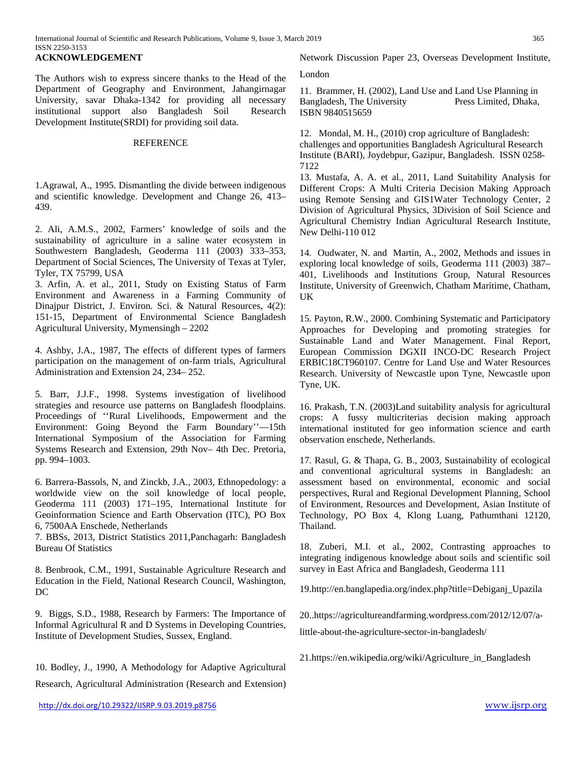The Authors wish to express sincere thanks to the Head of the Department of Geography and Environment, Jahangirnagar University, savar Dhaka-1342 for providing all necessary institutional support also Bangladesh Soil Research Development Institute(SRDI) for providing soil data.

#### **REFERENCE**

1.Agrawal, A., 1995. Dismantling the divide between indigenous and scientific knowledge. Development and Change 26, 413– 439.

2. Ali, A.M.S., 2002, Farmers' knowledge of soils and the sustainability of agriculture in a saline water ecosystem in Southwestern Bangladesh, Geoderma 111 (2003) 333–353, Department of Social Sciences, The University of Texas at Tyler, Tyler, TX 75799, USA

3. Arfin, A. et al., 2011, Study on Existing Status of Farm Environment and Awareness in a Farming Community of Dinajpur District, J. Environ. Sci. & Natural Resources, 4(2): 151-15, Department of Environmental Science Bangladesh Agricultural University, Mymensingh – 2202

4. Ashby, J.A., 1987, The effects of different types of farmers participation on the management of on-farm trials, Agricultural Administration and Extension 24, 234– 252.

5. Barr, J.J.F., 1998. Systems investigation of livelihood strategies and resource use patterns on Bangladesh floodplains. Proceedings of ''Rural Livelihoods, Empowerment and the Environment: Going Beyond the Farm Boundary''—15th International Symposium of the Association for Farming Systems Research and Extension, 29th Nov– 4th Dec. Pretoria, pp. 994–1003.

6. Barrera-Bassols, N, and Zinckb, J.A., 2003, Ethnopedology: a worldwide view on the soil knowledge of local people, Geoderma 111 (2003) 171–195, International Institute for Geoinformation Science and Earth Observation (ITC), PO Box 6, 7500AA Enschede, Netherlands

7. BBSs, 2013, District Statistics 2011,Panchagarh: Bangladesh Bureau Of Statistics

8. Benbrook, C.M., 1991, Sustainable Agriculture Research and Education in the Field, National Research Council, Washington, DC

9. Biggs, S.D., 1988, Research by Farmers: The Importance of Informal Agricultural R and D Systems in Developing Countries, Institute of Development Studies, Sussex, England.

10. Bodley, J., 1990, A Methodology for Adaptive Agricultural Research, Agricultural Administration (Research and Extension) London

11. Brammer, H. (2002), Land Use and Land Use Planning in Bangladesh. The University Press Limited. Dhaka. Bangladesh, The University ISBN 9840515659

12. Mondal, M. H., (2010) crop agriculture of Bangladesh: challenges and opportunities Bangladesh Agricultural Research Institute (BARI), Joydebpur, Gazipur, Bangladesh. ISSN 0258- 7122

13. Mustafa, A. A. et al., 2011, Land Suitability Analysis for Different Crops: A Multi Criteria Decision Making Approach using Remote Sensing and GIS1Water Technology Center, 2 Division of Agricultural Physics, 3Division of Soil Science and Agricultural Chemistry Indian Agricultural Research Institute, New Delhi-110 012

14. Oudwater, N. and Martin, A., 2002, Methods and issues in exploring local knowledge of soils, Geoderma 111 (2003) 387– 401, Livelihoods and Institutions Group, Natural Resources Institute, University of Greenwich, Chatham Maritime, Chatham, UK

15. Payton, R.W., 2000. Combining Systematic and Participatory Approaches for Developing and promoting strategies for Sustainable Land and Water Management. Final Report, European Commission DGXII INCO-DC Research Project ERBIC18CT960107. Centre for Land Use and Water Resources Research. University of Newcastle upon Tyne, Newcastle upon Tyne, UK.

16. Prakash, T.N. (2003)Land suitability analysis for agricultural crops: A fussy multicriterias decision making approach international instituted for geo information science and earth observation enschede, Netherlands.

17. Rasul, G. & Thapa, G. B., 2003, Sustainability of ecological and conventional agricultural systems in Bangladesh: an assessment based on environmental, economic and social perspectives, Rural and Regional Development Planning, School of Environment, Resources and Development, Asian Institute of Technology, PO Box 4, Klong Luang, Pathumthani 12120, Thailand.

18. Zuberi, M.I. et al., 2002, Contrasting approaches to integrating indigenous knowledge about soils and scientific soil survey in East Africa and Bangladesh, Geoderma 111

1[9.http://en.banglapedia.org/index.php?title=Debiganj\\_Upazila](http://en.banglapedia.org/index.php?title=Debiganj_Upazila)

20..https://agricultureandfarming.wordpress.com/2012/12/07/a-

little-about-the-agriculture-sector-in-bangladesh/

2[1.https://en.wikipedia.org/wiki/Agriculture\\_in\\_Bangladesh](https://en.wikipedia.org/wiki/Agriculture_in_Bangladesh)